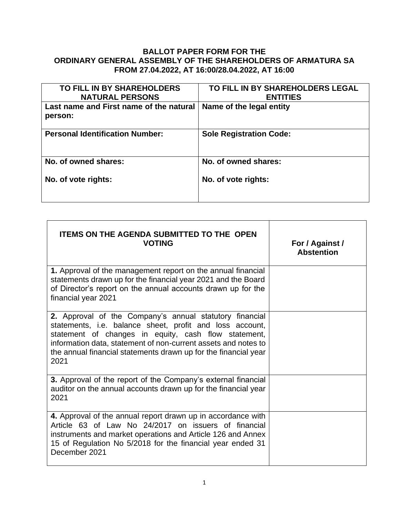## **BALLOT PAPER FORM FOR THE ORDINARY GENERAL ASSEMBLY OF THE SHAREHOLDERS OF ARMATURA SA FROM 27.04.2022, AT 16:00/28.04.2022, AT 16:00**

| TO FILL IN BY SHAREHOLDERS<br><b>NATURAL PERSONS</b> | TO FILL IN BY SHAREHOLDERS LEGAL<br><b>ENTITIES</b> |
|------------------------------------------------------|-----------------------------------------------------|
| Last name and First name of the natural<br>person:   | Name of the legal entity                            |
| <b>Personal Identification Number:</b>               | <b>Sole Registration Code:</b>                      |
| No. of owned shares:                                 | No. of owned shares:                                |
| No. of vote rights:                                  | No. of vote rights:                                 |

| <b>ITEMS ON THE AGENDA SUBMITTED TO THE OPEN</b><br><b>VOTING</b>                                                                                                                                                                                                                                                        | For / Against /<br><b>Abstention</b> |
|--------------------------------------------------------------------------------------------------------------------------------------------------------------------------------------------------------------------------------------------------------------------------------------------------------------------------|--------------------------------------|
| 1. Approval of the management report on the annual financial<br>statements drawn up for the financial year 2021 and the Board<br>of Director's report on the annual accounts drawn up for the<br>financial year 2021                                                                                                     |                                      |
| 2. Approval of the Company's annual statutory financial<br>statements, i.e. balance sheet, profit and loss account,<br>statement of changes in equity, cash flow statement,<br>information data, statement of non-current assets and notes to<br>the annual financial statements drawn up for the financial year<br>2021 |                                      |
| <b>3.</b> Approval of the report of the Company's external financial<br>auditor on the annual accounts drawn up for the financial year<br>2021                                                                                                                                                                           |                                      |
| 4. Approval of the annual report drawn up in accordance with<br>Article 63 of Law No 24/2017 on issuers of financial<br>instruments and market operations and Article 126 and Annex<br>15 of Regulation No 5/2018 for the financial year ended 31<br>December 2021                                                       |                                      |